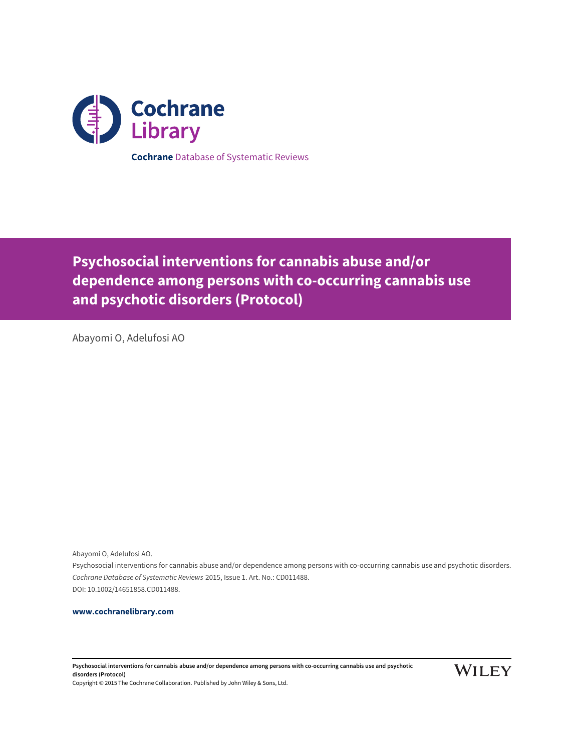

**Psychosocial interventions for cannabis abuse and/or dependence among persons with co-occurring cannabis use and psychotic disorders (Protocol)**

Abayomi O, Adelufosi AO

Abayomi O, Adelufosi AO.

Psychosocial interventions for cannabis abuse and/or dependence among persons with co-occurring cannabis use and psychotic disorders. Cochrane Database of Systematic Reviews 2015, Issue 1. Art. No.: CD011488. DOI: 10.1002/14651858.CD011488.

# **[www.cochranelibrary.com](http://www.cochranelibrary.com)**

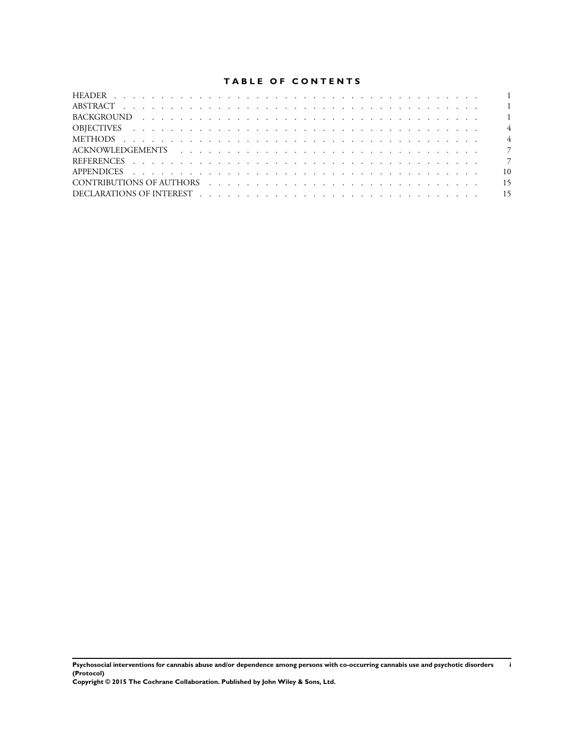# **TABLE OF CONTENTS**

| CONTRIBUTIONS OF AUTHORS (CONTRIBUTIONS OF AUTHORS) |
|-----------------------------------------------------|
|                                                     |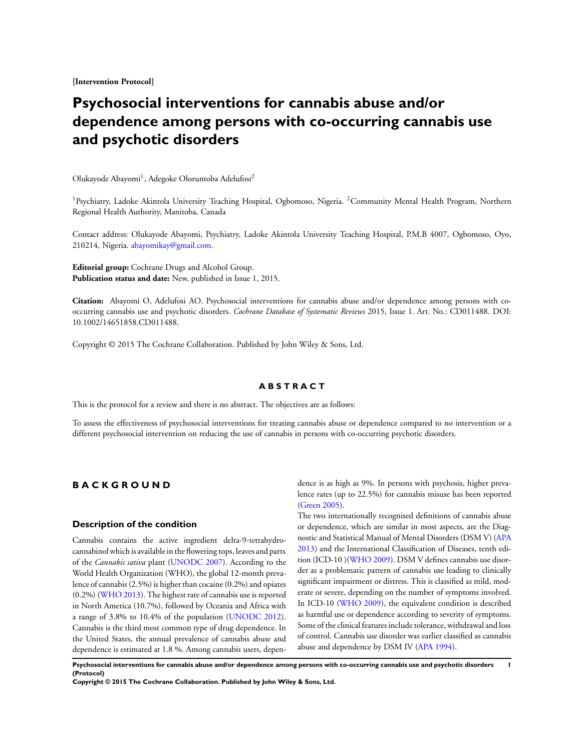**[Intervention Protocol]**

# **Psychosocial interventions for cannabis abuse and/or dependence among persons with co-occurring cannabis use and psychotic disorders**

Olukayode Abayomi<sup>1</sup>, Adegoke Oloruntoba Adelufosi<sup>2</sup>

<sup>1</sup>Psychiatry, Ladoke Akintola University Teaching Hospital, Ogbomoso, Nigeria. <sup>2</sup>Community Mental Health Program, Northern Regional Health Authority, Manitoba, Canada

Contact address: Olukayode Abayomi, Psychiatry, Ladoke Akintola University Teaching Hospital, P.M.B 4007, Ogbomoso, Oyo, 210214, Nigeria. [abayomikay@gmail.com.](mailto:abayomikay@gmail.com)

**Editorial group:** Cochrane Drugs and Alcohol Group. **Publication status and date:** New, published in Issue 1, 2015.

**Citation:** Abayomi O, Adelufosi AO. Psychosocial interventions for cannabis abuse and/or dependence among persons with cooccurring cannabis use and psychotic disorders. *Cochrane Database of Systematic Reviews* 2015, Issue 1. Art. No.: CD011488. DOI: 10.1002/14651858.CD011488.

Copyright © 2015 The Cochrane Collaboration. Published by John Wiley & Sons, Ltd.

# **A B S T R A C T**

This is the protocol for a review and there is no abstract. The objectives are as follows:

To assess the effectiveness of psychosocial interventions for treating cannabis abuse or dependence compared to no intervention or a different psychosocial intervention on reducing the use of cannabis in persons with co-occurring psychotic disorders.

# **B A C K G R O U N D**

# **Description of the condition**

Cannabis contains the active ingredient delta-9-tetrahydrocannabinol which is available in the flowering tops, leaves and parts of the *Cannabis sativa* plant [\(UNODC 2007](#page-8-0)). According to the World Health Organization (WHO), the global 12-month prevalence of cannabis (2.5%) is higher than cocaine (0.2%) and opiates (0.2%) [\(WHO 2013](#page-8-0)). The highest rate of cannabis use is reported in North America (10.7%), followed by Oceania and Africa with a range of 3.8% to 10.4% of the population ([UNODC 2012](#page-8-0)). Cannabis is the third most common type of drug dependence. In the United States, the annual prevalence of cannabis abuse and dependence is estimated at 1.8 %. Among cannabis users, dependence is as high as 9%. In persons with psychosis, higher prevalence rates (up to 22.5%) for cannabis misuse has been reported [\(Green 2005\)](#page-8-0).

The two internationally recognised definitions of cannabis abuse or dependence, which are similar in most aspects, are the Diagnostic and Statistical Manual of Mental Disorders (DSM V) [\(APA](#page-8-0) [2013](#page-8-0)) and the International Classification of Diseases, tenth edition (ICD-10 )([WHO 2009\)](#page-8-0). DSM V defines cannabis use disorder as a problematic pattern of cannabis use leading to clinically significant impairment or distress. This is classified as mild, moderate or severe, depending on the number of symptoms involved. In ICD-10 [\(WHO 2009](#page-8-0)), the equivalent condition is described as harmful use or dependence according to severity of symptoms. Some of the clinical features include tolerance, withdrawal and loss of control. Cannabis use disorder was earlier classified as cannabis abuse and dependence by DSM IV ([APA 1994\)](#page-8-0).

**Psychosocial interventions for cannabis abuse and/or dependence among persons with co-occurring cannabis use and psychotic disorders 1 (Protocol)**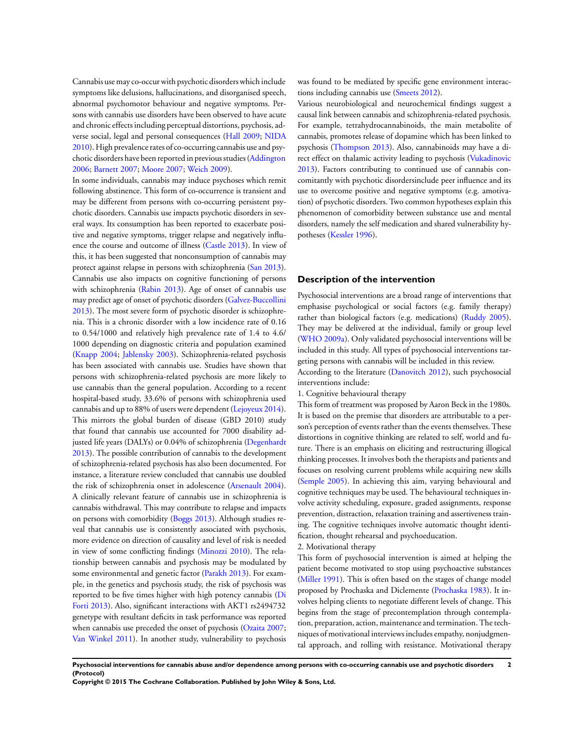Cannabis use may co-occur with psychotic disorders which include symptoms like delusions, hallucinations, and disorganised speech, abnormal psychomotor behaviour and negative symptoms. Persons with cannabis use disorders have been observed to have acute and chronic effects including perceptual distortions, psychosis, adverse social, legal and personal consequences ([Hall 2009;](#page-8-0) [NIDA](#page-8-0) [2010](#page-8-0)). High prevalence rates of co-occurring cannabis use and psychotic disorders have been reported in previous studies ([Addington](#page-8-0) [2006](#page-8-0); [Barnett 2007;](#page-8-0) [Moore 2007;](#page-8-0) [Weich 2009\)](#page-8-0).

In some individuals, cannabis may induce psychoses which remit following abstinence. This form of co-occurrence is transient and may be different from persons with co-occurring persistent psychotic disorders. Cannabis use impacts psychotic disorders in several ways. Its consumption has been reported to exacerbate positive and negative symptoms, trigger relapse and negatively influence the course and outcome of illness [\(Castle 2013](#page-8-0)). In view of this, it has been suggested that nonconsumption of cannabis may protect against relapse in persons with schizophrenia [\(San 2013](#page-8-0)). Cannabis use also impacts on cognitive functioning of persons with schizophrenia ([Rabin 2013\)](#page-8-0). Age of onset of cannabis use may predict age of onset of psychotic disorders ([Galvez-Buccollini](#page-8-0) [2013](#page-8-0)). The most severe form of psychotic disorder is schizophrenia. This is a chronic disorder with a low incidence rate of 0.16 to 0.54/1000 and relatively high prevalence rate of 1.4 to 4.6/ 1000 depending on diagnostic criteria and population examined [\(Knapp 2004;](#page-8-0) [Jablensky 2003\)](#page-8-0). Schizophrenia-related psychosis has been associated with cannabis use. Studies have shown that persons with schizophrenia-related psychosis are more likely to use cannabis than the general population. According to a recent hospital-based study, 33.6% of persons with schizophrenia used cannabis and up to 88% of users were dependent ([Lejoyeux 2014](#page-8-0)). This mirrors the global burden of disease (GBD 2010) study that found that cannabis use accounted for 7000 disability ad-justed life years (DALYs) or 0.04% of schizophrenia ([Degenhardt](#page-8-0) [2013](#page-8-0)). The possible contribution of cannabis to the development of schizophrenia-related psychosis has also been documented. For instance, a literature review concluded that cannabis use doubled the risk of schizophrenia onset in adolescence [\(Arsenault 2004](#page-8-0)). A clinically relevant feature of cannabis use in schizophrenia is cannabis withdrawal. This may contribute to relapse and impacts on persons with comorbidity [\(Boggs 2013](#page-8-0)). Although studies reveal that cannabis use is consistently associated with psychosis, more evidence on direction of causality and level of risk is needed in view of some conflicting findings ([Minozzi 2010](#page-8-0)). The relationship between cannabis and psychosis may be modulated by some environmental and genetic factor [\(Parakh 2013](#page-8-0)). For example, in the genetics and psychosis study, the risk of psychosis was reported to be five times higher with high potency cannabis ([Di](#page-8-0) [Forti 2013\)](#page-8-0). Also, significant interactions with AKT1 rs2494732 genetype with resultant deficits in task performance was reported when cannabis use preceded the onset of psychosis ([Ozaita 2007;](#page-8-0) [Van Winkel 2011\)](#page-8-0). In another study, vulnerability to psychosis

was found to be mediated by specific gene environment interactions including cannabis use [\(Smeets 2012\)](#page-8-0).

Various neurobiological and neurochemical findings suggest a causal link between cannabis and schizophrenia-related psychosis. For example, tetrahydrocannabinoids, the main metabolite of cannabis, promotes release of dopamine which has been linked to psychosis ([Thompson 2013](#page-8-0)). Also, cannabinoids may have a direct effect on thalamic activity leading to psychosis ([Vukadinovic](#page-8-0) [2013](#page-8-0)). Factors contributing to continued use of cannabis concomitantly with psychotic disordersinclude peer influence and its use to overcome positive and negative symptoms (e.g. amotivation) of psychotic disorders. Two common hypotheses explain this phenomenon of comorbidity between substance use and mental disorders, namely the self medication and shared vulnerability hypotheses ([Kessler 1996](#page-8-0)).

# **Description of the intervention**

Psychosocial interventions are a broad range of interventions that emphasise psychological or social factors (e.g. family therapy) rather than biological factors (e.g. medications) [\(Ruddy 2005](#page-8-0)). They may be delivered at the individual, family or group level [\(WHO 2009a\)](#page-8-0). Only validated psychosocial interventions will be included in this study. All types of psychosocial interventions targeting persons with cannabis will be included in this review.

According to the literature ([Danovitch 2012](#page-8-0)), such psychosocial interventions include:

1. Cognitive behavioural therapy

This form of treatment was proposed by Aaron Beck in the 1980s. It is based on the premise that disorders are attributable to a person's perception of events rather than the events themselves. These distortions in cognitive thinking are related to self, world and future. There is an emphasis on eliciting and restructuring illogical thinking processes. It involves both the therapists and patients and focuses on resolving current problems while acquiring new skills [\(Semple 2005\)](#page-8-0). In achieving this aim, varying behavioural and cognitive techniques may be used. The behavioural techniques involve activity scheduling, exposure, graded assignments, response prevention, distraction, relaxation training and assertiveness training. The cognitive techniques involve automatic thought identification, thought rehearsal and psychoeducation.

# 2. Motivational therapy

This form of psychosocial intervention is aimed at helping the patient become motivated to stop using psychoactive substances [\(Miller 1991\)](#page-8-0). This is often based on the stages of change model proposed by Prochaska and Diclemente [\(Prochaska 1983](#page-8-0)). It involves helping clients to negotiate different levels of change. This begins from the stage of precontemplation through contemplation, preparation, action, maintenance and termination. The techniques of motivational interviews includes empathy, nonjudgmental approach, and rolling with resistance. Motivational therapy

**Psychosocial interventions for cannabis abuse and/or dependence among persons with co-occurring cannabis use and psychotic disorders 2 (Protocol)**

**Copyright © 2015 The Cochrane Collaboration. Published by John Wiley & Sons, Ltd.**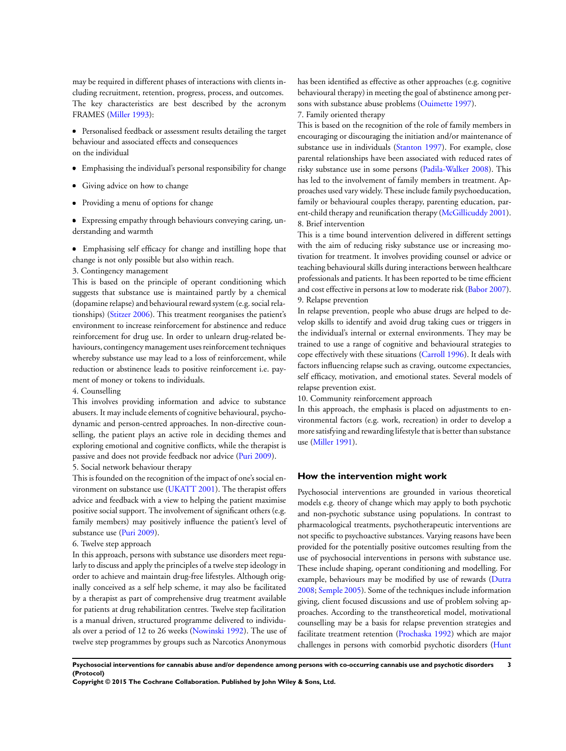may be required in different phases of interactions with clients including recruitment, retention, progress, process, and outcomes. The key characteristics are best described by the acronym FRAMES [\(Miller 1993](#page-8-0)):

Personalised feedback or assessment results detailing the target behaviour and associated effects and consequences on the individual

- Emphasising the individual's personal responsibility for change
- Giving advice on how to change  $\bullet$
- Providing a menu of options for change

Expressing empathy through behaviours conveying caring, understanding and warmth

Emphasising self efficacy for change and instilling hope that change is not only possible but also within reach.

3. Contingency management

This is based on the principle of operant conditioning which suggests that substance use is maintained partly by a chemical (dopamine relapse) and behavioural reward system (e.g. social relationships) ([Stitzer 2006\)](#page-8-0). This treatment reorganises the patient's environment to increase reinforcement for abstinence and reduce reinforcement for drug use. In order to unlearn drug-related behaviours, contingency management uses reinforcement techniques whereby substance use may lead to a loss of reinforcement, while reduction or abstinence leads to positive reinforcement i.e. payment of money or tokens to individuals.

#### 4. Counselling

This involves providing information and advice to substance abusers. It may include elements of cognitive behavioural, psychodynamic and person-centred approaches. In non-directive counselling, the patient plays an active role in deciding themes and exploring emotional and cognitive conflicts, while the therapist is passive and does not provide feedback nor advice [\(Puri 2009\)](#page-8-0). 5. Social network behaviour therapy

This is founded on the recognition of the impact of one's social environment on substance use ([UKATT 2001\)](#page-8-0). The therapist offers advice and feedback with a view to helping the patient maximise positive social support. The involvement of significant others (e.g. family members) may positively influence the patient's level of substance use ([Puri 2009\)](#page-8-0).

# 6. Twelve step approach

In this approach, persons with substance use disorders meet regularly to discuss and apply the principles of a twelve step ideology in order to achieve and maintain drug-free lifestyles. Although originally conceived as a self help scheme, it may also be facilitated by a therapist as part of comprehensive drug treatment available for patients at drug rehabilitation centres. Twelve step facilitation is a manual driven, structured programme delivered to individuals over a period of 12 to 26 weeks ([Nowinski 1992\)](#page-8-0). The use of twelve step programmes by groups such as Narcotics Anonymous

has been identified as effective as other approaches (e.g. cognitive behavioural therapy) in meeting the goal of abstinence among persons with substance abuse problems [\(Ouimette 1997](#page-8-0)).

7. Family oriented therapy

This is based on the recognition of the role of family members in encouraging or discouraging the initiation and/or maintenance of substance use in individuals ([Stanton 1997](#page-8-0)). For example, close parental relationships have been associated with reduced rates of risky substance use in some persons [\(Padila-Walker 2008](#page-8-0)). This has led to the involvement of family members in treatment. Approaches used vary widely. These include family psychoeducation, family or behavioural couples therapy, parenting education, parent-child therapy and reunification therapy ([McGillicuddy 2001](#page-8-0)). 8. Brief intervention

This is a time bound intervention delivered in different settings with the aim of reducing risky substance use or increasing motivation for treatment. It involves providing counsel or advice or teaching behavioural skills during interactions between healthcare professionals and patients. It has been reported to be time efficient and cost effective in persons at low to moderate risk [\(Babor 2007](#page-8-0)). 9. Relapse prevention

In relapse prevention, people who abuse drugs are helped to develop skills to identify and avoid drug taking cues or triggers in the individual's internal or external environments. They may be trained to use a range of cognitive and behavioural strategies to cope effectively with these situations ([Carroll 1996\)](#page-8-0). It deals with factors influencing relapse such as craving, outcome expectancies, self efficacy, motivation, and emotional states. Several models of relapse prevention exist.

10. Community reinforcement approach

In this approach, the emphasis is placed on adjustments to environmental factors (e.g. work, recreation) in order to develop a more satisfying and rewarding lifestyle that is better than substance use [\(Miller 1991](#page-8-0)).

# **How the intervention might work**

Psychosocial interventions are grounded in various theoretical models e.g. theory of change which may apply to both psychotic and non-psychotic substance using populations. In contrast to pharmacological treatments, psychotherapeutic interventions are not specific to psychoactive substances. Varying reasons have been provided for the potentially positive outcomes resulting from the use of psychosocial interventions in persons with substance use. These include shaping, operant conditioning and modelling. For example, behaviours may be modified by use of rewards [\(Dutra](#page-8-0) [2008](#page-8-0); [Semple 2005](#page-8-0)). Some of the techniques include information giving, client focused discussions and use of problem solving approaches. According to the transtheoretical model, motivational counselling may be a basis for relapse prevention strategies and facilitate treatment retention ([Prochaska 1992](#page-8-0)) which are major challenges in persons with comorbid psychotic disorders [\(Hunt](#page-8-0)

**Psychosocial interventions for cannabis abuse and/or dependence among persons with co-occurring cannabis use and psychotic disorders 3 (Protocol)**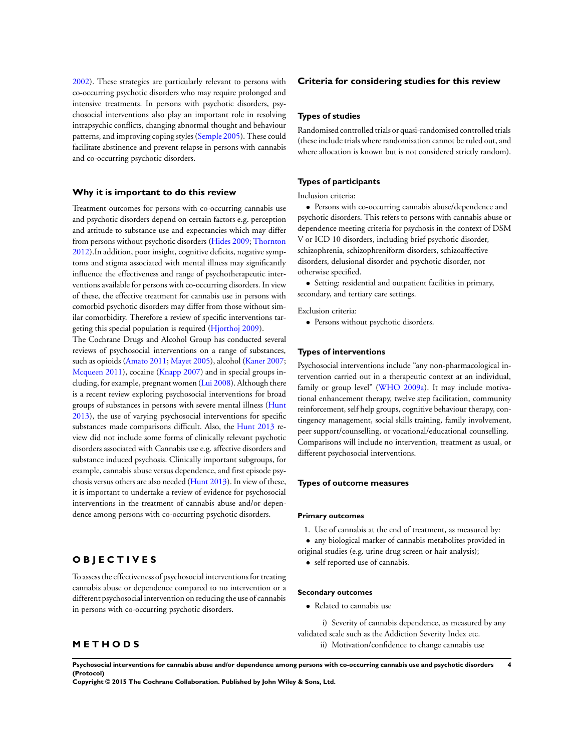[2002](#page-8-0)). These strategies are particularly relevant to persons with co-occurring psychotic disorders who may require prolonged and intensive treatments. In persons with psychotic disorders, psychosocial interventions also play an important role in resolving intrapsychic conflicts, changing abnormal thought and behaviour patterns, and improving coping styles [\(Semple 2005\)](#page-8-0). These could facilitate abstinence and prevent relapse in persons with cannabis and co-occurring psychotic disorders.

# **Why it is important to do this review**

Treatment outcomes for persons with co-occurring cannabis use and psychotic disorders depend on certain factors e.g. perception and attitude to substance use and expectancies which may differ from persons without psychotic disorders [\(Hides 2009;](#page-8-0) [Thornton](#page-8-0) [2012](#page-8-0)).In addition, poor insight, cognitive deficits, negative symptoms and stigma associated with mental illness may significantly influence the effectiveness and range of psychotherapeutic interventions available for persons with co-occurring disorders. In view of these, the effective treatment for cannabis use in persons with comorbid psychotic disorders may differ from those without similar comorbidity. Therefore a review of specific interventions targeting this special population is required ([Hjorthoj 2009\)](#page-8-0).

The Cochrane Drugs and Alcohol Group has conducted several reviews of psychosocial interventions on a range of substances, such as opioids [\(Amato 2011;](#page-8-0) [Mayet 2005](#page-8-0)), alcohol [\(Kaner 2007;](#page-8-0) [Mcqueen 2011](#page-8-0)), cocaine [\(Knapp 2007](#page-8-0)) and in special groups including, for example, pregnant women ([Lui 2008](#page-8-0)). Although there is a recent review exploring psychosocial interventions for broad groups of substances in persons with severe mental illness [\(Hunt](#page-8-0) [2013](#page-8-0)), the use of varying psychosocial interventions for specific substances made comparisons difficult. Also, the [Hunt 2013](#page-8-0) review did not include some forms of clinically relevant psychotic disorders associated with Cannabis use e.g. affective disorders and substance induced psychosis. Clinically important subgroups, for example, cannabis abuse versus dependence, and first episode psychosis versus others are also needed [\(Hunt 2013](#page-8-0)). In view of these, it is important to undertake a review of evidence for psychosocial interventions in the treatment of cannabis abuse and/or dependence among persons with co-occurring psychotic disorders.

# **O B J E C T I V E S**

**M E T H O D S**

To assess the effectiveness of psychosocial interventions for treating cannabis abuse or dependence compared to no intervention or a different psychosocial intervention on reducing the use of cannabis in persons with co-occurring psychotic disorders.

# **Criteria for considering studies for this review**

### **Types of studies**

Randomised controlled trials or quasi-randomised controlled trials (these include trials where randomisation cannot be ruled out, and where allocation is known but is not considered strictly random).

# **Types of participants**

# Inclusion criteria:

• Persons with co-occurring cannabis abuse/dependence and psychotic disorders. This refers to persons with cannabis abuse or dependence meeting criteria for psychosis in the context of DSM V or ICD 10 disorders, including brief psychotic disorder, schizophrenia, schizophreniform disorders, schizoaffective disorders, delusional disorder and psychotic disorder, not otherwise specified.

• Setting: residential and outpatient facilities in primary, secondary, and tertiary care settings.

Exclusion criteria:

• Persons without psychotic disorders.

#### **Types of interventions**

Psychosocial interventions include "any non-pharmacological intervention carried out in a therapeutic context at an individual, family or group level" [\(WHO 2009a\)](#page-8-0). It may include motivational enhancement therapy, twelve step facilitation, community reinforcement, self help groups, cognitive behaviour therapy, contingency management, social skills training, family involvement, peer support/counselling, or vocational/educational counselling. Comparisons will include no intervention, treatment as usual, or different psychosocial interventions.

# **Types of outcome measures**

#### **Primary outcomes**

- 1. Use of cannabis at the end of treatment, as measured by:
- any biological marker of cannabis metabolites provided in

original studies (e.g. urine drug screen or hair analysis);

• self reported use of cannabis.

#### **Secondary outcomes**

• Related to cannabis use

i) Severity of cannabis dependence, as measured by any validated scale such as the Addiction Severity Index etc.

ii) Motivation/confidence to change cannabis use

**Psychosocial interventions for cannabis abuse and/or dependence among persons with co-occurring cannabis use and psychotic disorders 4 (Protocol)**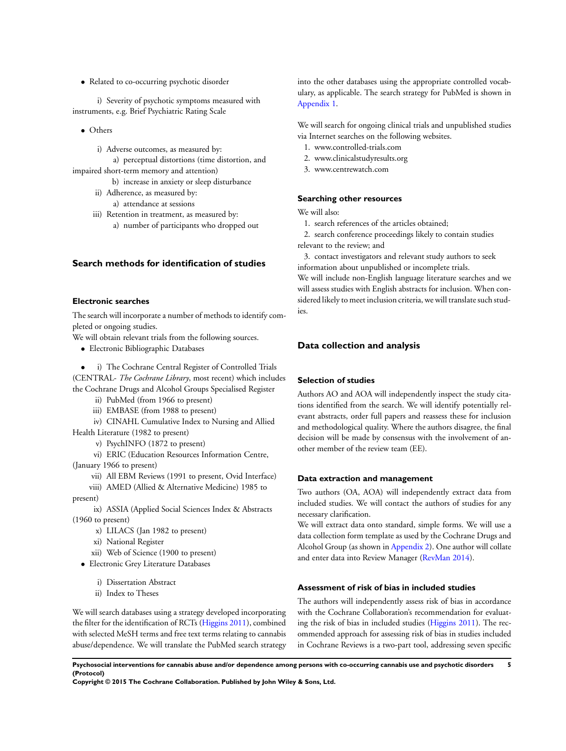• Related to co-occurring psychotic disorder

i) Severity of psychotic symptoms measured with instruments, e.g. Brief Psychiatric Rating Scale

• Others

i) Adverse outcomes, as measured by:

a) perceptual distortions (time distortion, and impaired short-term memory and attention)

> b) increase in anxiety or sleep disturbance ii) Adherence, as measured by:

a) attendance at sessions

iii) Retention in treatment, as measured by: a) number of participants who dropped out

# **Search methods for identification of studies**

# **Electronic searches**

The search will incorporate a number of methods to identify completed or ongoing studies.

We will obtain relevant trials from the following sources.

- Electronic Bibliographic Databases
- i) The Cochrane Central Register of Controlled Trials (CENTRAL- *The Cochrane Library*, most recent) which includes

the Cochrane Drugs and Alcohol Groups Specialised Register

- ii) PubMed (from 1966 to present)
- iii) EMBASE (from 1988 to present)

iv) CINAHL Cumulative Index to Nursing and Allied Health Literature (1982 to present)

v) PsychINFO (1872 to present)

vi) ERIC (Education Resources Information Centre,

- (January 1966 to present)
	- vii) All EBM Reviews (1991 to present, Ovid Interface)

viii) AMED (Allied & Alternative Medicine) 1985 to

present)

ix) ASSIA (Applied Social Sciences Index & Abstracts (1960 to present)

- x) LILACS (Jan 1982 to present)
- xi) National Register
- xii) Web of Science (1900 to present)
- Electronic Grey Literature Databases
	- i) Dissertation Abstract
	- ii) Index to Theses

We will search databases using a strategy developed incorporating the filter for the identification of RCTs ([Higgins 2011\)](#page-8-0), combined with selected MeSH terms and free text terms relating to cannabis abuse/dependence. We will translate the PubMed search strategy into the other databases using the appropriate controlled vocabulary, as applicable. The search strategy for PubMed is shown in [Appendix 1.](#page-11-0)

We will search for ongoing clinical trials and unpublished studies via Internet searches on the following websites.

- 1. www.controlled-trials.com
- 2. www.clinicalstudyresults.org
- 3. www.centrewatch.com

# **Searching other resources**

We will also:

- 1. search references of the articles obtained;
- 2. search conference proceedings likely to contain studies relevant to the review; and

3. contact investigators and relevant study authors to seek information about unpublished or incomplete trials.

We will include non-English language literature searches and we will assess studies with English abstracts for inclusion. When considered likely to meet inclusion criteria, we will translate such studies.

# **Data collection and analysis**

# **Selection of studies**

Authors AO and AOA will independently inspect the study citations identified from the search. We will identify potentially relevant abstracts, order full papers and reassess these for inclusion and methodological quality. Where the authors disagree, the final decision will be made by consensus with the involvement of another member of the review team (EE).

# **Data extraction and management**

Two authors (OA, AOA) will independently extract data from included studies. We will contact the authors of studies for any necessary clarification.

We will extract data onto standard, simple forms. We will use a data collection form template as used by the Cochrane Drugs and Alcohol Group (as shown in [Appendix 2\)](#page-12-0). One author will collate and enter data into Review Manager ([RevMan 2014](#page-8-0)).

# **Assessment of risk of bias in included studies**

The authors will independently assess risk of bias in accordance with the Cochrane Collaboration's recommendation for evaluating the risk of bias in included studies ([Higgins 2011\)](#page-8-0). The recommended approach for assessing risk of bias in studies included in Cochrane Reviews is a two-part tool, addressing seven specific

**Psychosocial interventions for cannabis abuse and/or dependence among persons with co-occurring cannabis use and psychotic disorders 5 (Protocol)**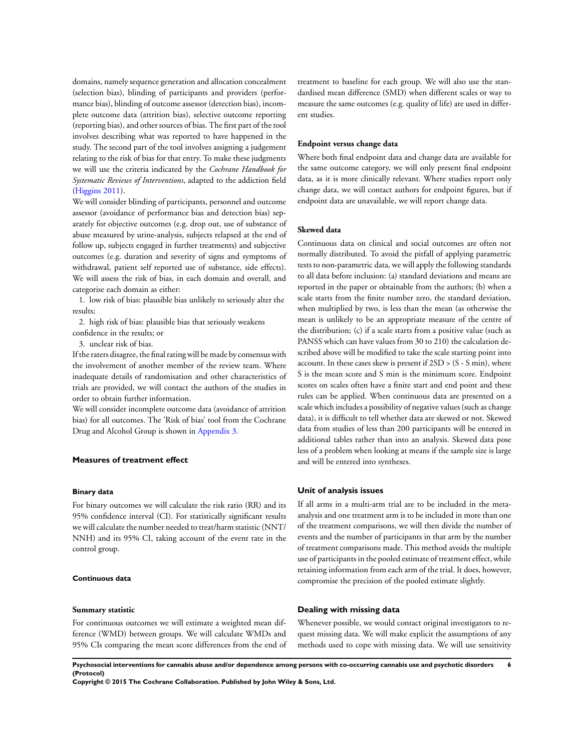domains, namely sequence generation and allocation concealment (selection bias), blinding of participants and providers (performance bias), blinding of outcome assessor (detection bias), incomplete outcome data (attrition bias), selective outcome reporting (reporting bias), and other sources of bias. The first part of the tool involves describing what was reported to have happened in the study. The second part of the tool involves assigning a judgement relating to the risk of bias for that entry. To make these judgments we will use the criteria indicated by the *Cochrane Handbook for Systematic Reviews of Interventions*, adapted to the addiction field [\(Higgins 2011\)](#page-8-0).

We will consider blinding of participants, personnel and outcome assessor (avoidance of performance bias and detection bias) separately for objective outcomes (e.g. drop out, use of substance of abuse measured by urine-analysis, subjects relapsed at the end of follow up, subjects engaged in further treatments) and subjective outcomes (e.g. duration and severity of signs and symptoms of withdrawal, patient self reported use of substance, side effects). We will assess the risk of bias, in each domain and overall, and categorise each domain as either:

1. low risk of bias: plausible bias unlikely to seriously alter the results;

2. high risk of bias: plausible bias that seriously weakens confidence in the results; or

3. unclear risk of bias.

If the raters disagree, the final rating will be made by consensus with the involvement of another member of the review team. Where inadequate details of randomisation and other characteristics of trials are provided, we will contact the authors of the studies in order to obtain further information.

We will consider incomplete outcome data (avoidance of attrition bias) for all outcomes. The 'Risk of bias' tool from the Cochrane Drug and Alcohol Group is shown in [Appendix 3.](#page-13-0)

#### **Measures of treatment effect**

# **Binary data**

For binary outcomes we will calculate the risk ratio (RR) and its 95% confidence interval (CI). For statistically significant results we will calculate the number needed to treat/harm statistic (NNT/ NNH) and its 95% CI, taking account of the event rate in the control group.

# **Continuous data**

#### **Summary statistic**

For continuous outcomes we will estimate a weighted mean difference (WMD) between groups. We will calculate WMDs and 95% CIs comparing the mean score differences from the end of treatment to baseline for each group. We will also use the standardised mean difference (SMD) when different scales or way to measure the same outcomes (e.g. quality of life) are used in different studies.

### **Endpoint versus change data**

Where both final endpoint data and change data are available for the same outcome category, we will only present final endpoint data, as it is more clinically relevant. Where studies report only change data, we will contact authors for endpoint figures, but if endpoint data are unavailable, we will report change data.

#### **Skewed data**

Continuous data on clinical and social outcomes are often not normally distributed. To avoid the pitfall of applying parametric tests to non-parametric data, we will apply the following standards to all data before inclusion: (a) standard deviations and means are reported in the paper or obtainable from the authors; (b) when a scale starts from the finite number zero, the standard deviation, when multiplied by two, is less than the mean (as otherwise the mean is unlikely to be an appropriate measure of the centre of the distribution; (c) if a scale starts from a positive value (such as PANSS which can have values from 30 to 210) the calculation described above will be modified to take the scale starting point into account. In these cases skew is present if 2SD > (S - S min), where S is the mean score and S min is the minimum score. Endpoint scores on scales often have a finite start and end point and these rules can be applied. When continuous data are presented on a scale which includes a possibility of negative values (such as change data), it is difficult to tell whether data are skewed or not. Skewed data from studies of less than 200 participants will be entered in additional tables rather than into an analysis. Skewed data pose less of a problem when looking at means if the sample size is large and will be entered into syntheses.

# **Unit of analysis issues**

If all arms in a multi-arm trial are to be included in the metaanalysis and one treatment arm is to be included in more than one of the treatment comparisons, we will then divide the number of events and the number of participants in that arm by the number of treatment comparisons made. This method avoids the multiple use of participants in the pooled estimate of treatment effect, while retaining information from each arm of the trial. It does, however, compromise the precision of the pooled estimate slightly.

# **Dealing with missing data**

Whenever possible, we would contact original investigators to request missing data. We will make explicit the assumptions of any methods used to cope with missing data. We will use sensitivity

**Psychosocial interventions for cannabis abuse and/or dependence among persons with co-occurring cannabis use and psychotic disorders 6 (Protocol)**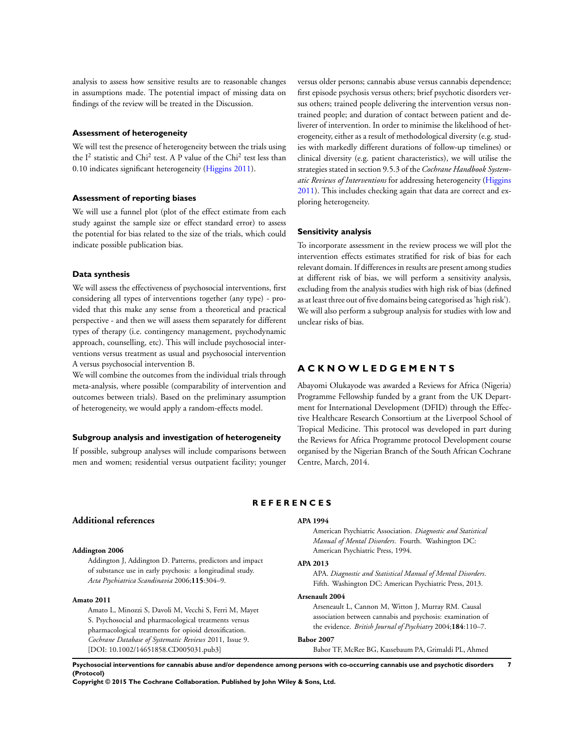<span id="page-8-0"></span>analysis to assess how sensitive results are to reasonable changes in assumptions made. The potential impact of missing data on findings of the review will be treated in the Discussion.

# **Assessment of heterogeneity**

We will test the presence of heterogeneity between the trials using the  $I^2$  statistic and Chi<sup>2</sup> test. A P value of the Chi<sup>2</sup> test less than 0.10 indicates significant heterogeneity (Higgins 2011).

# **Assessment of reporting biases**

We will use a funnel plot (plot of the effect estimate from each study against the sample size or effect standard error) to assess the potential for bias related to the size of the trials, which could indicate possible publication bias.

# **Data synthesis**

We will assess the effectiveness of psychosocial interventions, first considering all types of interventions together (any type) - provided that this make any sense from a theoretical and practical perspective - and then we will assess them separately for different types of therapy (i.e. contingency management, psychodynamic approach, counselling, etc). This will include psychosocial interventions versus treatment as usual and psychosocial intervention A versus psychosocial intervention B.

We will combine the outcomes from the individual trials through meta-analysis, where possible (comparability of intervention and outcomes between trials). Based on the preliminary assumption of heterogeneity, we would apply a random-effects model.

#### **Subgroup analysis and investigation of heterogeneity**

If possible, subgroup analyses will include comparisons between men and women; residential versus outpatient facility; younger versus older persons; cannabis abuse versus cannabis dependence; first episode psychosis versus others; brief psychotic disorders versus others; trained people delivering the intervention versus nontrained people; and duration of contact between patient and deliverer of intervention. In order to minimise the likelihood of heterogeneity, either as a result of methodological diversity (e.g. studies with markedly different durations of follow-up timelines) or clinical diversity (e.g. patient characteristics), we will utilise the strategies stated in section 9.5.3 of the *Cochrane Handbook Systematic Reviews of Interventions* for addressing heterogeneity (Higgins 2011). This includes checking again that data are correct and exploring heterogeneity.

#### **Sensitivity analysis**

To incorporate assessment in the review process we will plot the intervention effects estimates stratified for risk of bias for each relevant domain. If differences in results are present among studies at different risk of bias, we will perform a sensitivity analysis, excluding from the analysis studies with high risk of bias (defined as at least three out of five domains being categorised as 'high risk'). We will also perform a subgroup analysis for studies with low and unclear risks of bias.

# **A C K N O W L E D G E M E N T S**

Abayomi Olukayode was awarded a Reviews for Africa (Nigeria) Programme Fellowship funded by a grant from the UK Department for International Development (DFID) through the Effective Healthcare Research Consortium at the Liverpool School of Tropical Medicine. This protocol was developed in part during the Reviews for Africa Programme protocol Development course organised by the Nigerian Branch of the South African Cochrane Centre, March, 2014.

# **R E F E R E N C E S**

# **Additional references**

#### **Addington 2006**

Addington J, Addington D. Patterns, predictors and impact of substance use in early psychosis: a longitudinal study. *Acta Psychiatrica Scandinavia* 2006;**115**:304–9.

# **Amato 2011**

Amato L, Minozzi S, Davoli M, Vecchi S, Ferri M, Mayet S. Psychosocial and pharmacological treatments versus pharmacological treatments for opioid detoxification. *Cochrane Database of Systematic Reviews* 2011, Issue 9. [DOI: 10.1002/14651858.CD005031.pub3]

#### **APA 1994**

American Psychiatric Association. *Diagnostic and Statistical Manual of Mental Disorders*. Fourth. Washington DC: American Psychiatric Press, 1994.

# **APA 2013**

APA. *Diagnostic and Statistical Manual of Mental Disorders*. Fifth. Washington DC: American Psychiatric Press, 2013.

### **Arsenault 2004**

Arseneault L, Cannon M, Witton J, Murray RM. Causal association between cannabis and psychosis: examination of the evidence. *British Journal of Psychiatry* 2004;**184**:110–7.

#### **Babor 2007**

Babor TF, McRee BG, Kassebaum PA, Grimaldi PL, Ahmed

**Psychosocial interventions for cannabis abuse and/or dependence among persons with co-occurring cannabis use and psychotic disorders 7 (Protocol)**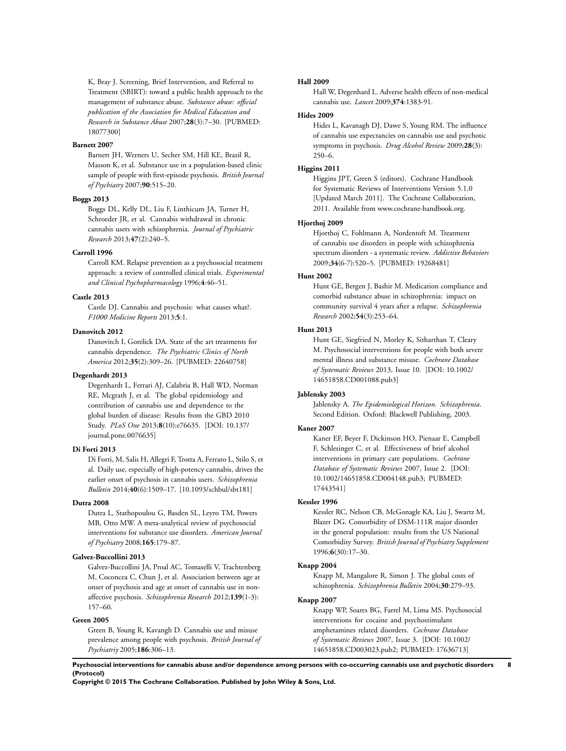K, Bray J. Screening, Brief Intervention, and Referral to Treatment (SBIRT): toward a public health approach to the management of substance abuse. *Substance abuse: official publication of the Association for Medical Education and Research in Substance Abuse* 2007;**28**(3):7–30. [PUBMED: 18077300]

#### **Barnett 2007**

Barnett JH, Werners U, Secher SM, Hill KE, Brazil R, Masson K, et al. Substance use in a population-based clinic sample of people with first-episode psychosis. *British Journal of Psychiatry* 2007;**90**:515–20.

#### **Boggs 2013**

Boggs DL, Kelly DL, Liu F, Linthicum JA, Turner H, Schroeder JR, et al. Cannabis withdrawal in chronic cannabis users with schizophrenia. *Journal of Psychiatric Research* 2013;**47**(2):240–5.

# **Carroll 1996**

Carroll KM. Relapse prevention as a psychosocial treatment approach: a review of controlled clinical trials. *Experimental and Clinical Psychopharmacology* 1996;**4**:46–51.

#### **Castle 2013**

Castle DJ. Cannabis and psychosis: what causes what?. *F1000 Medicine Reports* 2013;**5**:1.

#### **Danovitch 2012**

Danovitch I, Gorelick DA. State of the art treatments for cannabis dependence. *The Psychiatric Clinics of North America* 2012;**35**(2):309–26. [PUBMED: 22640758]

#### **Degenhardt 2013**

Degenhardt L, Ferrari AJ, Calabria B, Hall WD, Norman RE, Mcgrath J, et al. The global epidemiology and contribution of cannabis use and dependence to the global burden of disease: Results from the GBD 2010 Study. *PLoS One* 2013;**8**(10):e76635. [DOI: 10.137/ journal.pone.0076635]

#### **Di Forti 2013**

Di Forti, M, Salis H, Allegri F, Trotta A, Ferraro L, Stilo S, et al. Daily use, especially of high-potency cannabis, drives the earlier onset of psychosis in cannabis users. *Schizophrenia Bulletin* 2014;**40**(6):1509–17. [10.1093/schbul/sbt181]

# **Dutra 2008**

Dutra L, Stathopoulou G, Basden SL, Leyro TM, Powers MB, Otto MW. A meta-analytical review of psychosocial interventions for substance use disorders. *American Journal of Psychiatry* 2008;**165**:179–87.

# **Galvez-Buccollini 2013**

Galvez-Buccollini JA, Proal AC, Tomaselli V, Trachtenberg M, Coconcea C, Chun J, et al. Association between age at onset of psychosis and age at onset of cannabis use in nonaffective psychosis. *Schizophrenia Research* 2012;**139**(1-3): 157–60.

# **Green 2005**

Green B, Young R, Kavangh D. Cannabis use and misuse prevalence among people with psychosis. *British Journal of Psychiatriy* 2005;**186**:306–13.

#### **Hall 2009**

Hall W, Degenhard L. Adverse health effects of non-medical cannabis use. *Lancet* 2009;**374**:1383-91.

#### **Hides 2009**

Hides L, Kavanagh DJ, Dawe S, Young RM. The influence of cannabis use expectancies on cannabis use and psychotic symptoms in psychosis. *Drug Alcohol Review* 2009;**28**(3): 250–6.

# **Higgins 2011**

Higgins JPT, Green S (editors). Cochrane Handbook for Systematic Reviews of Interventions Version 5.1.0 [Updated March 2011]. The Cochrane Collaboration, 2011. Available from www.cochrane-handbook.org.

# **Hjorthoj 2009**

Hjorthoj C, Fohlmann A, Nordentoft M. Treatment of cannabis use disorders in people with schizophrenia spectrum disorders - a systematic review. *Addictive Behaviors* 2009;**34**(6-7):520–5. [PUBMED: 19268481]

#### **Hunt 2002**

Hunt GE, Bergen J, Bashir M. Medication compliance and comorbid substance abuse in schizophrenia: impact on community survival 4 years after a relapse. *Schizophrenia Research* 2002;**54**(3):253–64.

# **Hunt 2013**

Hunt GE, Siegfried N, Morley K, Sitharthan T, Cleary M. Psychosocial interventions for people with both severe mental illness and substance misuse. *Cochrane Database of Systematic Reviews* 2013, Issue 10. [DOI: 10.1002/ 14651858.CD001088.pub3]

#### **Jablensky 2003**

Jablensky A. *The Epidemiological Horizon. Schizophrenia*. Second Edition. Oxford: Blackwell Publishing, 2003.

#### **Kaner 2007**

Kaner EF, Beyer F, Dickinson HO, Pienaar E, Campbell F, Schlesinger C, et al. Effectiveness of brief alcohol interventions in primary care populations. *Cochrane Database of Systematic Reviews* 2007, Issue 2. [DOI: 10.1002/14651858.CD004148.pub3; PUBMED: 17443541]

# **Kessler 1996**

Kessler RC, Nelson CB, McGonagle KA, Liu J, Swartz M, Blazer DG. Comorbidity of DSM-111R major disorder in the general population: results from the US National Comorbidity Survey. *British Journal of Psychiatry Supplement* 1996;**6**(30):17–30.

# **Knapp 2004**

Knapp M, Mangalore R, Simon J. The global costs of schizophrenia. *Schizophrenia Bulletin* 2004;**30**:279–93.

# **Knapp 2007**

Knapp WP, Soares BG, Farrel M, Lima MS. Psychosocial interventions for cocaine and psychostimulant amphetamines related disorders. *Cochrane Database of Systematic Reviews* 2007, Issue 3. [DOI: 10.1002/ 14651858.CD003023.pub2; PUBMED: 17636713]

**Psychosocial interventions for cannabis abuse and/or dependence among persons with co-occurring cannabis use and psychotic disorders 8 (Protocol)**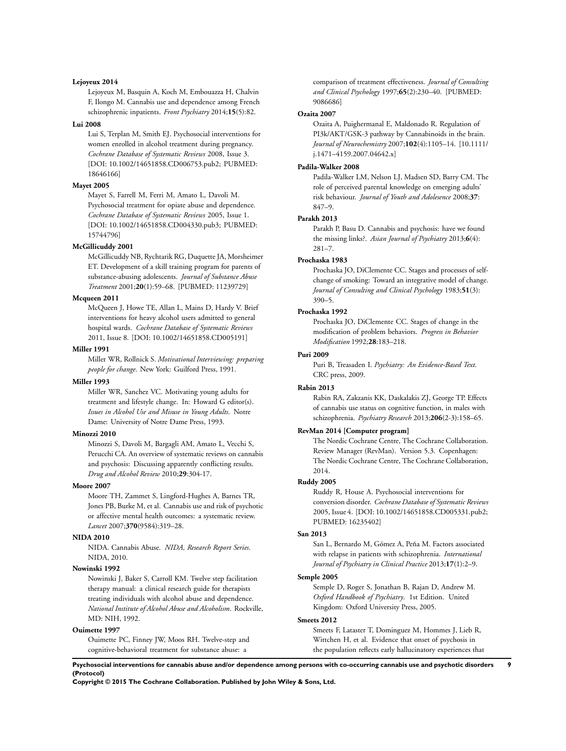# **Lejoyeux 2014**

Lejoyeux M, Basquin A, Koch M, Embouazza H, Chalvin F, Ilongo M. Cannabis use and dependence among French schizophrenic inpatients. *Front Psychiatry* 2014;**15**(5):82.

# **Lui 2008**

Lui S, Terplan M, Smith EJ. Psychosocial interventions for women enrolled in alcohol treatment during pregnancy. *Cochrane Database of Systematic Reviews* 2008, Issue 3. [DOI: 10.1002/14651858.CD006753.pub2; PUBMED: 18646166]

# **Mayet 2005**

Mayet S, Farrell M, Ferri M, Amato L, Davoli M. Psychosocial treatment for opiate abuse and dependence. *Cochrane Database of Systematic Reviews* 2005, Issue 1. [DOI: 10.1002/14651858.CD004330.pub3; PUBMED: 15744796]

# **McGillicuddy 2001**

McGillicuddy NB, Rychtarik RG, Duquette JA, Morsheimer ET. Development of a skill training program for parents of substance-abusing adolescents. *Journal of Substance Abuse Treatment* 2001;**20**(1):59–68. [PUBMED: 11239729]

#### **Mcqueen 2011**

McQueen J, Howe TE, Allan L, Mains D, Hardy V. Brief interventions for heavy alcohol users admitted to general hospital wards. *Cochrane Database of Systematic Reviews* 2011, Issue 8. [DOI: 10.1002/14651858.CD005191]

#### **Miller 1991**

Miller WR, Rollnick S. *Motivational Interviewing: preparing people for change*. New York: Guilford Press, 1991.

#### **Miller 1993**

Miller WR, Sanchez VC. Motivating young adults for treatment and lifestyle change. In: Howard G editor(s). *Issues in Alcohol Use and Misuse in Young Adults*. Notre Dame: University of Notre Dame Press, 1993.

# **Minozzi 2010**

Minozzi S, Davoli M, Bargagli AM, Amato L, Vecchi S, Perucchi CA. An overview of systematic reviews on cannabis and psychosis: Discussing apparently conflicting results. *Drug and Alcohol Review* 2010;**29**:304-17.

# **Moore 2007**

Moore TH, Zammet S, Lingford-Hughes A, Barnes TR, Jones PB, Burke M, et al. Cannabis use and risk of psychotic or affective mental health outcomes: a systematic review. *Lancet* 2007;**370**(9584):319–28.

### **NIDA 2010**

NIDA. Cannabis Abuse. *NIDA, Research Report Series*. NIDA, 2010.

# **Nowinski 1992**

Nowinski J, Baker S, Carroll KM. Twelve step facilitation therapy manual: a clinical research guide for therapists treating individuals with alcohol abuse and dependence. *National Institute of Alcohol Abuse and Alcoholism*. Rockville, MD: NIH, 1992.

# **Ouimette 1997**

Ouimette PC, Finney JW, Moos RH. Twelve-step and cognitive-behavioral treatment for substance abuse: a

comparison of treatment effectiveness. *Journal of Consulting and Clinical Psychology* 1997;**65**(2):230–40. [PUBMED: 9086686]

# **Ozaita 2007**

Ozaita A, Puighermanal E, Maldonado R. Regulation of PI3k/AKT/GSK-3 pathway by Cannabinoids in the brain. *Journal of Neurochemistry* 2007;**102**(4):1105–14. [10.1111/ j.1471–4159.2007.04642.x]

# **Padila-Walker 2008**

Padila-Walker LM, Nelson LJ, Madsen SD, Barry CM. The role of perceived parental knowledge on emerging adults' risk behaviour. *Journal of Youth and Adolesence* 2008;**37**: 847–9.

# **Parakh 2013**

Parakh P, Basu D. Cannabis and psychosis: have we found the missing links?. *Asian Journal of Psychiatry* 2013;**6**(4): 281–7.

#### **Prochaska 1983**

Prochaska JO, DiClemente CC. Stages and processes of selfchange of smoking: Toward an integrative model of change. *Journal of Consulting and Clinical Psychology* 1983;**51**(3): 390–5.

# **Prochaska 1992**

Prochaska JO, DiClemente CC. Stages of change in the modification of problem behaviors. *Progress in Behavior Modification* 1992;**28**:183–218.

# **Puri 2009**

Puri B, Treasaden I. *Psychiatry: An Evidence-Based Text*. CRC press, 2009.

#### **Rabin 2013**

Rabin RA, Zakzanis KK, Daskalakis ZJ, George TP. Effects of cannabis use status on cognitive function, in males with schizophrenia. *Psychiatry Research* 2013;**206**(2-3):158–65.

# **RevMan 2014 [Computer program]**

The Nordic Cochrane Centre, The Cochrane Collaboration. Review Manager (RevMan). Version 5.3. Copenhagen: The Nordic Cochrane Centre, The Cochrane Collaboration, 2014.

#### **Ruddy 2005**

Ruddy R, House A. Psychosocial interventions for conversion disorder. *Cochrane Database of Systematic Reviews* 2005, Issue 4. [DOI: 10.1002/14651858.CD005331.pub2; PUBMED: 16235402]

# **San 2013**

San L, Bernardo M, Gómez A, Peña M. Factors associated with relapse in patients with schizophrenia. *International Journal of Psychiatry in Clinical Practice* 2013;**17**(1):2–9.

# **Semple 2005**

Semple D, Roger S, Jonathan B, Rajan D, Andrew M. *Oxford Handbook of Psychiatry*. 1st Edition. United Kingdom: Oxford University Press, 2005.

#### **Smeets 2012**

Smeets F, Lataster T, Dominguez M, Hommes J, Lieb R, Wittchen H, et al. Evidence that onset of psychosis in the population reflects early hallucinatory experiences that

**Psychosocial interventions for cannabis abuse and/or dependence among persons with co-occurring cannabis use and psychotic disorders 9 (Protocol)**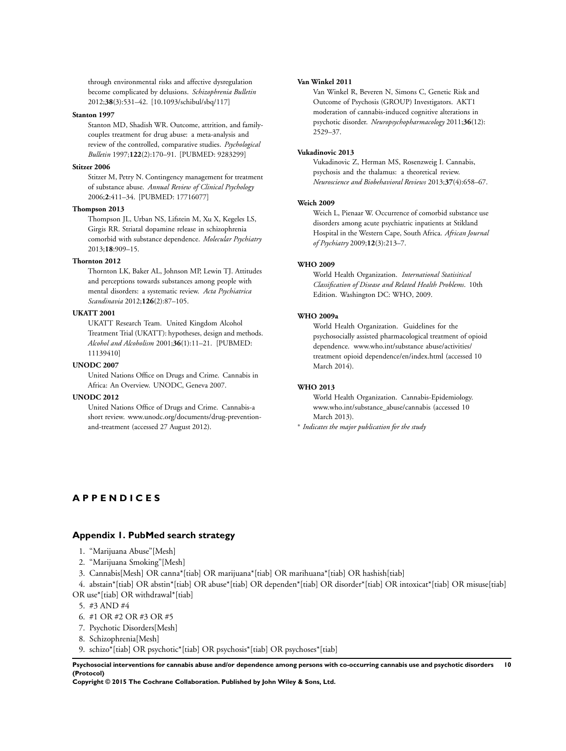<span id="page-11-0"></span>through environmental risks and affective dysregulation become complicated by delusions. *Schizophrenia Bulletin* 2012;**38**(3):531–42. [10.1093/schibul/sbq/117]

#### **Stanton 1997**

Stanton MD, Shadish WR. Outcome, attrition, and familycouples treatment for drug abuse: a meta-analysis and review of the controlled, comparative studies. *Psychological Bulletin* 1997;**122**(2):170–91. [PUBMED: 9283299]

# **Stitzer 2006**

Stitzer M, Petry N. Contingency management for treatment of substance abuse. *Annual Review of Clinical Psychology* 2006;**2**:411–34. [PUBMED: 17716077]

# **Thompson 2013**

Thompson JL, Urban NS, Lifstein M, Xu X, Kegeles LS, Girgis RR. Striatal dopamine release in schizophrenia comorbid with substance dependence. *Molecular Psychiatry* 2013;**18**:909–15.

# **Thornton 2012**

Thornton LK, Baker AL, Johnson MP, Lewin TJ. Attitudes and perceptions towards substances among people with mental disorders: a systematic review. *Acta Psychiatrica Scandinavia* 2012;**126**(2):87–105.

#### **UKATT 2001**

UKATT Research Team. United Kingdom Alcohol Treatment Trial (UKATT): hypotheses, design and methods. *Alcohol and Alcoholism* 2001;**36**(1):11–21. [PUBMED: 11139410]

#### **UNODC 2007**

United Nations Office on Drugs and Crime. Cannabis in Africa: An Overview. UNODC, Geneva 2007.

# **UNODC 2012**

United Nations Office of Drugs and Crime. Cannabis-a short review. www.unodc.org/documents/drug-preventionand-treatment (accessed 27 August 2012).

#### **Van Winkel 2011**

Van Winkel R, Beveren N, Simons C, Genetic Risk and Outcome of Psychosis (GROUP) Investigators. AKT1 moderation of cannabis-induced cognitive alterations in psychotic disorder. *Neuropsychopharmacology* 2011;**36**(12): 2529–37.

#### **Vukadinovic 2013**

Vukadinovic Z, Herman MS, Rosenzweig I. Cannabis, psychosis and the thalamus: a theoretical review. *Neuroscience and Biobehavioral Reviews* 2013;**37**(4):658–67.

#### **Weich 2009**

Weich L, Pienaar W. Occurrence of comorbid substance use disorders among acute psychiatric inpatients at Stikland Hospital in the Western Cape, South Africa. *African Journal of Psychiatry* 2009;**12**(3):213–7.

#### **WHO 2009**

World Health Organization. *International Statisitical Classification of Disease and Related Health Problems*. 10th Edition. Washington DC: WHO, 2009.

# **WHO 2009a**

World Health Organization. Guidelines for the psychosocially assisted pharmacological treatment of opioid dependence. www.who.int/substance abuse/activities/ treatment opioid dependence/en/index.html (accessed 10 March 2014).

#### **WHO 2013**

World Health Organization. Cannabis-Epidemiology. www.who.int/substance\_abuse/cannabis (accessed 10 March 2013).

∗ *Indicates the major publication for the study*

# **A P P E N D I C E S**

# **Appendix 1. PubMed search strategy**

- 1. "Marijuana Abuse"[Mesh]
- 2. "Marijuana Smoking"[Mesh]
- 3. Cannabis[Mesh] OR canna\*[tiab] OR marijuana\*[tiab] OR marihuana\*[tiab] OR hashish[tiab]

4. abstain\*[tiab] OR abstin\*[tiab] OR abuse\*[tiab] OR dependen\*[tiab] OR disorder\*[tiab] OR intoxicat\*[tiab] OR misuse[tiab] OR use\*[tiab] OR withdrawal\*[tiab]

- 5. #3 AND #4
- 6. #1 OR #2 OR #3 OR #5
- 7. Psychotic Disorders[Mesh]
- 8. Schizophrenia[Mesh]
- 9. schizo\*[tiab] OR psychotic\*[tiab] OR psychosis\*[tiab] OR psychoses\*[tiab]

**Psychosocial interventions for cannabis abuse and/or dependence among persons with co-occurring cannabis use and psychotic disorders 10 (Protocol)**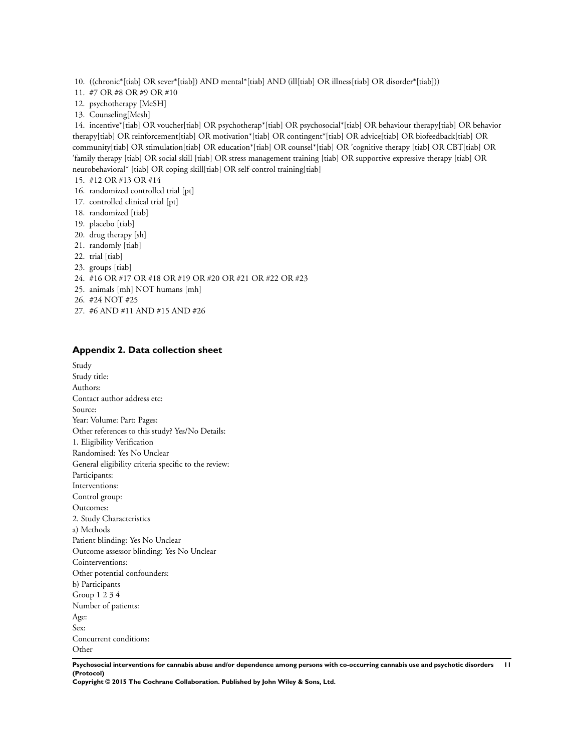<span id="page-12-0"></span>10. ((chronic\*[tiab] OR sever\*[tiab]) AND mental\*[tiab] AND (ill[tiab] OR illness[tiab] OR disorder\*[tiab]))

- 11. #7 OR #8 OR #9 OR #10
- 12. psychotherapy [MeSH]
- 13. Counseling[Mesh]

14. incentive\*[tiab] OR voucher[tiab] OR psychotherap\*[tiab] OR psychosocial\*[tiab] OR behaviour therapy[tiab] OR behavior therapy[tiab] OR reinforcement[tiab] OR motivation\*[tiab] OR contingent\*[tiab] OR advice[tiab] OR biofeedback[tiab] OR community[tiab] OR stimulation[tiab] OR education\*[tiab] OR counsel\*[tiab] OR 'cognitive therapy [tiab] OR CBT[tiab] OR 'family therapy [tiab] OR social skill [tiab] OR stress management training [tiab] OR supportive expressive therapy [tiab] OR neurobehavioral\* [tiab] OR coping skill[tiab] OR self-control training[tiab]

- 15. #12 OR #13 OR #14
- 16. randomized controlled trial [pt]
- 17. controlled clinical trial [pt]
- 18. randomized [tiab]
- 19. placebo [tiab]
- 20. drug therapy [sh]
- 21. randomly [tiab]
- 22. trial [tiab]
- 23. groups [tiab]
- 24. #16 OR #17 OR #18 OR #19 OR #20 OR #21 OR #22 OR #23
- 25. animals [mh] NOT humans [mh]
- 26. #24 NOT #25
- 27. #6 AND #11 AND #15 AND #26

## **Appendix 2. Data collection sheet**

Study Study title: Authors: Contact author address etc: Source: Year: Volume: Part: Pages: Other references to this study? Yes/No Details: 1. Eligibility Verification Randomised: Yes No Unclear General eligibility criteria specific to the review: Participants: Interventions: Control group: Outcomes: 2. Study Characteristics a) Methods Patient blinding: Yes No Unclear Outcome assessor blinding: Yes No Unclear Cointerventions: Other potential confounders: b) Participants Group 1 2 3 4 Number of patients: Age: Sex: Concurrent conditions: Other

**Psychosocial interventions for cannabis abuse and/or dependence among persons with co-occurring cannabis use and psychotic disorders 11 (Protocol)**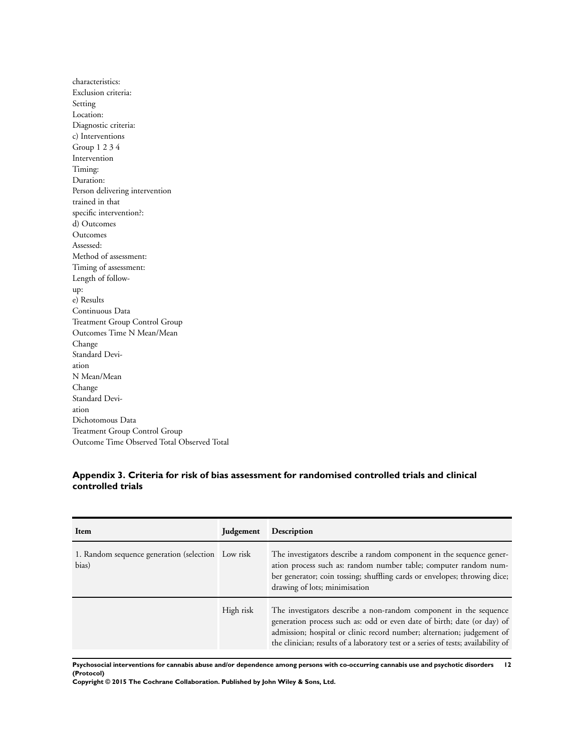<span id="page-13-0"></span>characteristics: Exclusion criteria: Setting Location: Diagnostic criteria: c) Interventions Group 1 2 3 4 Intervention Timing: Duration: Person delivering intervention trained in that specific intervention?: d) Outcomes Outcomes Assessed: Method of assessment: Timing of assessment: Length of followup: e) Results Continuous Data Treatment Group Control Group Outcomes Time N Mean/Mean Change Standard Deviation N Mean/Mean Change Standard Deviation Dichotomous Data Treatment Group Control Group Outcome Time Observed Total Observed Total

# **Appendix 3. Criteria for risk of bias assessment for randomised controlled trials and clinical controlled trials**

| Item                                                       | <b>Judgement</b> | Description                                                                                                                                                                                                                                                                                                 |
|------------------------------------------------------------|------------------|-------------------------------------------------------------------------------------------------------------------------------------------------------------------------------------------------------------------------------------------------------------------------------------------------------------|
| 1. Random sequence generation (selection Low risk<br>bias) |                  | The investigators describe a random component in the sequence gener-<br>ation process such as: random number table; computer random num-<br>ber generator; coin tossing; shuffling cards or envelopes; throwing dice;<br>drawing of lots; minimisation                                                      |
|                                                            | High risk        | The investigators describe a non-random component in the sequence<br>generation process such as: odd or even date of birth; date (or day) of<br>admission; hospital or clinic record number; alternation; judgement of<br>the clinician; results of a laboratory test or a series of tests; availability of |

**Psychosocial interventions for cannabis abuse and/or dependence among persons with co-occurring cannabis use and psychotic disorders 12 (Protocol)**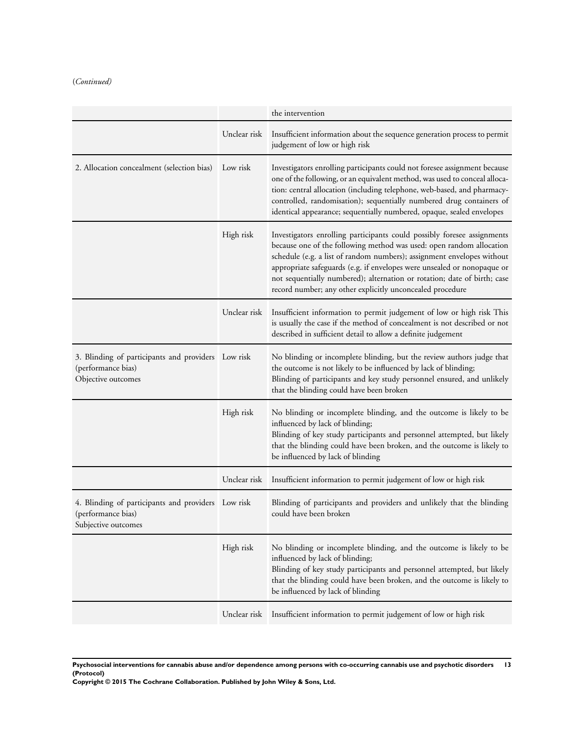# (*Continued)*

|                                                                                                 |              | the intervention                                                                                                                                                                                                                                                                                                                                                                                                                              |
|-------------------------------------------------------------------------------------------------|--------------|-----------------------------------------------------------------------------------------------------------------------------------------------------------------------------------------------------------------------------------------------------------------------------------------------------------------------------------------------------------------------------------------------------------------------------------------------|
|                                                                                                 | Unclear risk | Insufficient information about the sequence generation process to permit<br>judgement of low or high risk                                                                                                                                                                                                                                                                                                                                     |
| 2. Allocation concealment (selection bias)                                                      | Low risk     | Investigators enrolling participants could not foresee assignment because<br>one of the following, or an equivalent method, was used to conceal alloca-<br>tion: central allocation (including telephone, web-based, and pharmacy-<br>controlled, randomisation); sequentially numbered drug containers of<br>identical appearance; sequentially numbered, opaque, sealed envelopes                                                           |
|                                                                                                 | High risk    | Investigators enrolling participants could possibly foresee assignments<br>because one of the following method was used: open random allocation<br>schedule (e.g. a list of random numbers); assignment envelopes without<br>appropriate safeguards (e.g. if envelopes were unsealed or nonopaque or<br>not sequentially numbered); alternation or rotation; date of birth; case<br>record number; any other explicitly unconcealed procedure |
|                                                                                                 | Unclear risk | Insufficient information to permit judgement of low or high risk This<br>is usually the case if the method of concealment is not described or not<br>described in sufficient detail to allow a definite judgement                                                                                                                                                                                                                             |
| 3. Blinding of participants and providers Low risk<br>(performance bias)<br>Objective outcomes  |              | No blinding or incomplete blinding, but the review authors judge that<br>the outcome is not likely to be influenced by lack of blinding;<br>Blinding of participants and key study personnel ensured, and unlikely<br>that the blinding could have been broken                                                                                                                                                                                |
|                                                                                                 | High risk    | No blinding or incomplete blinding, and the outcome is likely to be<br>influenced by lack of blinding;<br>Blinding of key study participants and personnel attempted, but likely<br>that the blinding could have been broken, and the outcome is likely to<br>be influenced by lack of blinding                                                                                                                                               |
|                                                                                                 | Unclear risk | Insufficient information to permit judgement of low or high risk                                                                                                                                                                                                                                                                                                                                                                              |
| 4. Blinding of participants and providers Low risk<br>(performance bias)<br>Subjective outcomes |              | Blinding of participants and providers and unlikely that the blinding<br>could have been broken                                                                                                                                                                                                                                                                                                                                               |
|                                                                                                 | High risk    | No blinding or incomplete blinding, and the outcome is likely to be<br>influenced by lack of blinding;<br>Blinding of key study participants and personnel attempted, but likely<br>that the blinding could have been broken, and the outcome is likely to<br>be influenced by lack of blinding                                                                                                                                               |
|                                                                                                 | Unclear risk | Insufficient information to permit judgement of low or high risk                                                                                                                                                                                                                                                                                                                                                                              |

**Psychosocial interventions for cannabis abuse and/or dependence among persons with co-occurring cannabis use and psychotic disorders 13 (Protocol)**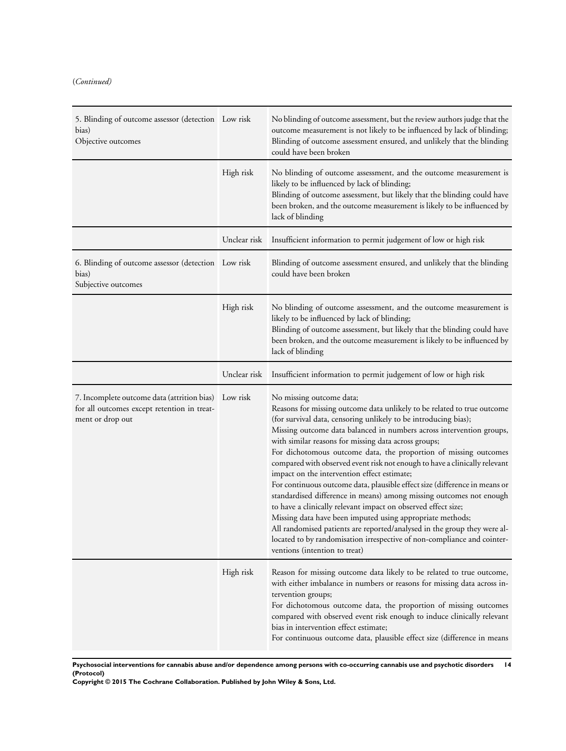# (*Continued)*

| 5. Blinding of outcome assessor (detection Low risk<br>bias)<br>Objective outcomes                                      |              | No blinding of outcome assessment, but the review authors judge that the<br>outcome measurement is not likely to be influenced by lack of blinding;<br>Blinding of outcome assessment ensured, and unlikely that the blinding<br>could have been broken                                                                                                                                                                                                                                                                                                                                                                                                                                                                                                                                                                                                                                                                                                                            |
|-------------------------------------------------------------------------------------------------------------------------|--------------|------------------------------------------------------------------------------------------------------------------------------------------------------------------------------------------------------------------------------------------------------------------------------------------------------------------------------------------------------------------------------------------------------------------------------------------------------------------------------------------------------------------------------------------------------------------------------------------------------------------------------------------------------------------------------------------------------------------------------------------------------------------------------------------------------------------------------------------------------------------------------------------------------------------------------------------------------------------------------------|
|                                                                                                                         | High risk    | No blinding of outcome assessment, and the outcome measurement is<br>likely to be influenced by lack of blinding;<br>Blinding of outcome assessment, but likely that the blinding could have<br>been broken, and the outcome measurement is likely to be influenced by<br>lack of blinding                                                                                                                                                                                                                                                                                                                                                                                                                                                                                                                                                                                                                                                                                         |
|                                                                                                                         | Unclear risk | Insufficient information to permit judgement of low or high risk                                                                                                                                                                                                                                                                                                                                                                                                                                                                                                                                                                                                                                                                                                                                                                                                                                                                                                                   |
| 6. Blinding of outcome assessor (detection Low risk<br>bias)<br>Subjective outcomes                                     |              | Blinding of outcome assessment ensured, and unlikely that the blinding<br>could have been broken                                                                                                                                                                                                                                                                                                                                                                                                                                                                                                                                                                                                                                                                                                                                                                                                                                                                                   |
|                                                                                                                         | High risk    | No blinding of outcome assessment, and the outcome measurement is<br>likely to be influenced by lack of blinding;<br>Blinding of outcome assessment, but likely that the blinding could have<br>been broken, and the outcome measurement is likely to be influenced by<br>lack of blinding                                                                                                                                                                                                                                                                                                                                                                                                                                                                                                                                                                                                                                                                                         |
|                                                                                                                         | Unclear risk | Insufficient information to permit judgement of low or high risk                                                                                                                                                                                                                                                                                                                                                                                                                                                                                                                                                                                                                                                                                                                                                                                                                                                                                                                   |
| 7. Incomplete outcome data (attrition bias) Low risk<br>for all outcomes except retention in treat-<br>ment or drop out |              | No missing outcome data;<br>Reasons for missing outcome data unlikely to be related to true outcome<br>(for survival data, censoring unlikely to be introducing bias);<br>Missing outcome data balanced in numbers across intervention groups,<br>with similar reasons for missing data across groups;<br>For dichotomous outcome data, the proportion of missing outcomes<br>compared with observed event risk not enough to have a clinically relevant<br>impact on the intervention effect estimate;<br>For continuous outcome data, plausible effect size (difference in means or<br>standardised difference in means) among missing outcomes not enough<br>to have a clinically relevant impact on observed effect size;<br>Missing data have been imputed using appropriate methods;<br>All randomised patients are reported/analysed in the group they were al-<br>located to by randomisation irrespective of non-compliance and cointer-<br>ventions (intention to treat) |
|                                                                                                                         | High risk    | Reason for missing outcome data likely to be related to true outcome,<br>with either imbalance in numbers or reasons for missing data across in-<br>tervention groups;<br>For dichotomous outcome data, the proportion of missing outcomes<br>compared with observed event risk enough to induce clinically relevant<br>bias in intervention effect estimate;<br>For continuous outcome data, plausible effect size (difference in means                                                                                                                                                                                                                                                                                                                                                                                                                                                                                                                                           |

**Psychosocial interventions for cannabis abuse and/or dependence among persons with co-occurring cannabis use and psychotic disorders 14 (Protocol)**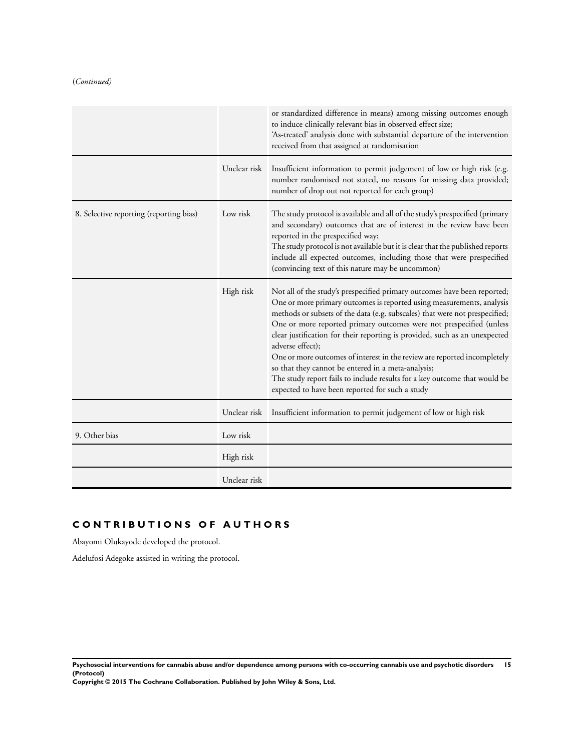# (*Continued)*

|                                         |              | or standardized difference in means) among missing outcomes enough<br>to induce clinically relevant bias in observed effect size;<br>'As-treated' analysis done with substantial departure of the intervention<br>received from that assigned at randomisation                                                                                                                                                                                                                                                                                                                                                                                                              |
|-----------------------------------------|--------------|-----------------------------------------------------------------------------------------------------------------------------------------------------------------------------------------------------------------------------------------------------------------------------------------------------------------------------------------------------------------------------------------------------------------------------------------------------------------------------------------------------------------------------------------------------------------------------------------------------------------------------------------------------------------------------|
|                                         | Unclear risk | Insufficient information to permit judgement of low or high risk (e.g.<br>number randomised not stated, no reasons for missing data provided;<br>number of drop out not reported for each group)                                                                                                                                                                                                                                                                                                                                                                                                                                                                            |
| 8. Selective reporting (reporting bias) | Low risk     | The study protocol is available and all of the study's prespecified (primary<br>and secondary) outcomes that are of interest in the review have been<br>reported in the prespecified way;<br>The study protocol is not available but it is clear that the published reports<br>include all expected outcomes, including those that were prespecified<br>(convincing text of this nature may be uncommon)                                                                                                                                                                                                                                                                    |
|                                         | High risk    | Not all of the study's prespecified primary outcomes have been reported;<br>One or more primary outcomes is reported using measurements, analysis<br>methods or subsets of the data (e.g. subscales) that were not prespecified;<br>One or more reported primary outcomes were not prespecified (unless<br>clear justification for their reporting is provided, such as an unexpected<br>adverse effect);<br>One or more outcomes of interest in the review are reported incompletely<br>so that they cannot be entered in a meta-analysis;<br>The study report fails to include results for a key outcome that would be<br>expected to have been reported for such a study |
|                                         |              | Unclear risk Insufficient information to permit judgement of low or high risk                                                                                                                                                                                                                                                                                                                                                                                                                                                                                                                                                                                               |
| 9. Other bias                           | Low risk     |                                                                                                                                                                                                                                                                                                                                                                                                                                                                                                                                                                                                                                                                             |
|                                         | High risk    |                                                                                                                                                                                                                                                                                                                                                                                                                                                                                                                                                                                                                                                                             |
|                                         | Unclear risk |                                                                                                                                                                                                                                                                                                                                                                                                                                                                                                                                                                                                                                                                             |

# **C O N T R I B U T I O N S O F A U T H O R S**

Abayomi Olukayode developed the protocol.

Adelufosi Adegoke assisted in writing the protocol.